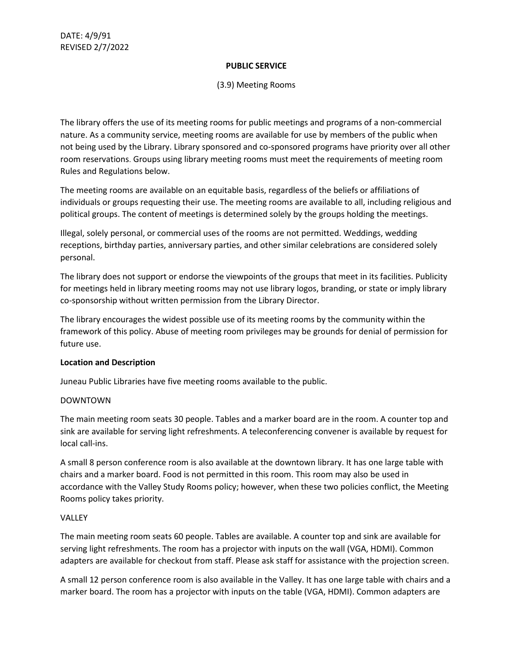## **PUBLIC SERVICE**

## (3.9) Meeting Rooms

The library offers the use of its meeting rooms for public meetings and programs of a non-commercial nature. As a community service, meeting rooms are available for use by members of the public when not being used by the Library. Library sponsored and co-sponsored programs have priority over all other room reservations. Groups using library meeting rooms must meet the requirements of meeting room Rules and Regulations below.

The meeting rooms are available on an equitable basis, regardless of the beliefs or affiliations of individuals or groups requesting their use. The meeting rooms are available to all, including religious and political groups. The content of meetings is determined solely by the groups holding the meetings.

Illegal, solely personal, or commercial uses of the rooms are not permitted. Weddings, wedding receptions, birthday parties, anniversary parties, and other similar celebrations are considered solely personal.

The library does not support or endorse the viewpoints of the groups that meet in its facilities. Publicity for meetings held in library meeting rooms may not use library logos, branding, or state or imply library co-sponsorship without written permission from the Library Director.

The library encourages the widest possible use of its meeting rooms by the community within the framework of this policy. Abuse of meeting room privileges may be grounds for denial of permission for future use.

# **Location and Description**

Juneau Public Libraries have five meeting rooms available to the public.

# DOWNTOWN

The main meeting room seats 30 people. Tables and a marker board are in the room. A counter top and sink are available for serving light refreshments. A teleconferencing convener is available by request for local call-ins.

A small 8 person conference room is also available at the downtown library. It has one large table with chairs and a marker board. Food is not permitted in this room. This room may also be used in accordance with the Valley Study Rooms policy; however, when these two policies conflict, the Meeting Rooms policy takes priority.

# VALLEY

The main meeting room seats 60 people. Tables are available. A counter top and sink are available for serving light refreshments. The room has a projector with inputs on the wall (VGA, HDMI). Common adapters are available for checkout from staff. Please ask staff for assistance with the projection screen.

A small 12 person conference room is also available in the Valley. It has one large table with chairs and a marker board. The room has a projector with inputs on the table (VGA, HDMI). Common adapters are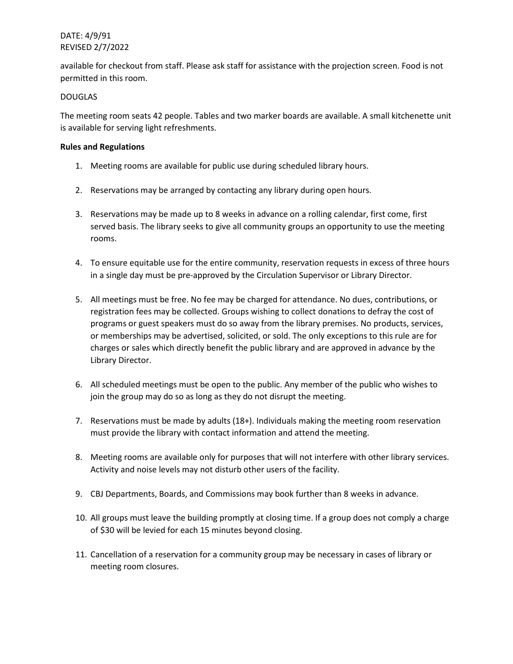# DATE: 4/9/91 REVISED 2/7/2022

available for checkout from staff. Please ask staff for assistance with the projection screen. Food is not permitted in this room.

### DOUGLAS

The meeting room seats 42 people. Tables and two marker boards are available. A small kitchenette unit is available for serving light refreshments.

### **Rules and Regulations**

- 1. Meeting rooms are available for public use during scheduled library hours.
- 2. Reservations may be arranged by contacting any library during open hours.
- 3. Reservations may be made up to 8 weeks in advance on a rolling calendar, first come, first served basis. The library seeks to give all community groups an opportunity to use the meeting rooms.
- 4. To ensure equitable use for the entire community, reservation requests in excess of three hours in a single day must be pre-approved by the Circulation Supervisor or Library Director.
- 5. All meetings must be free. No fee may be charged for attendance. No dues, contributions, or registration fees may be collected. Groups wishing to collect donations to defray the cost of programs or guest speakers must do so away from the library premises. No products, services, or memberships may be advertised, solicited, or sold. The only exceptions to this rule are for charges or sales which directly benefit the public library and are approved in advance by the Library Director.
- 6. All scheduled meetings must be open to the public. Any member of the public who wishes to join the group may do so as long as they do not disrupt the meeting.
- 7. Reservations must be made by adults (18+). Individuals making the meeting room reservation must provide the library with contact information and attend the meeting.
- 8. Meeting rooms are available only for purposes that will not interfere with other library services. Activity and noise levels may not disturb other users of the facility.
- 9. CBJ Departments, Boards, and Commissions may book further than 8 weeks in advance.
- 10. All groups must leave the building promptly at closing time. If a group does not comply a charge of \$30 will be levied for each 15 minutes beyond closing.
- 11. Cancellation of a reservation for a community group may be necessary in cases of library or meeting room closures.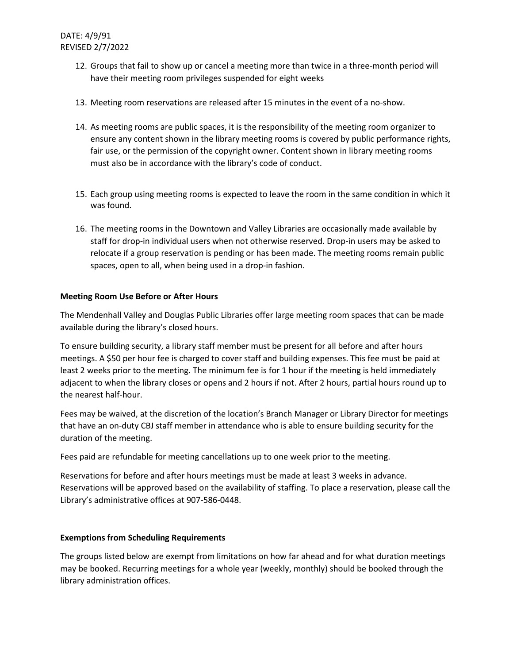- 12. Groups that fail to show up or cancel a meeting more than twice in a three-month period will have their meeting room privileges suspended for eight weeks
- 13. Meeting room reservations are released after 15 minutes in the event of a no-show.
- 14. As meeting rooms are public spaces, it is the responsibility of the meeting room organizer to ensure any content shown in the library meeting rooms is covered by public performance rights, fair use, or the permission of the copyright owner. Content shown in library meeting rooms must also be in accordance with the library's code of conduct.
- 15. Each group using meeting rooms is expected to leave the room in the same condition in which it was found.
- 16. The meeting rooms in the Downtown and Valley Libraries are occasionally made available by staff for drop-in individual users when not otherwise reserved. Drop-in users may be asked to relocate if a group reservation is pending or has been made. The meeting rooms remain public spaces, open to all, when being used in a drop-in fashion.

# **Meeting Room Use Before or After Hours**

The Mendenhall Valley and Douglas Public Libraries offer large meeting room spaces that can be made available during the library's closed hours.

To ensure building security, a library staff member must be present for all before and after hours meetings. A \$50 per hour fee is charged to cover staff and building expenses. This fee must be paid at least 2 weeks prior to the meeting. The minimum fee is for 1 hour if the meeting is held immediately adjacent to when the library closes or opens and 2 hours if not. After 2 hours, partial hours round up to the nearest half-hour.

Fees may be waived, at the discretion of the location's Branch Manager or Library Director for meetings that have an on-duty CBJ staff member in attendance who is able to ensure building security for the duration of the meeting.

Fees paid are refundable for meeting cancellations up to one week prior to the meeting.

Reservations for before and after hours meetings must be made at least 3 weeks in advance. Reservations will be approved based on the availability of staffing. To place a reservation, please call the Library's administrative offices at 907-586-0448.

# **Exemptions from Scheduling Requirements**

The groups listed below are exempt from limitations on how far ahead and for what duration meetings may be booked. Recurring meetings for a whole year (weekly, monthly) should be booked through the library administration offices.